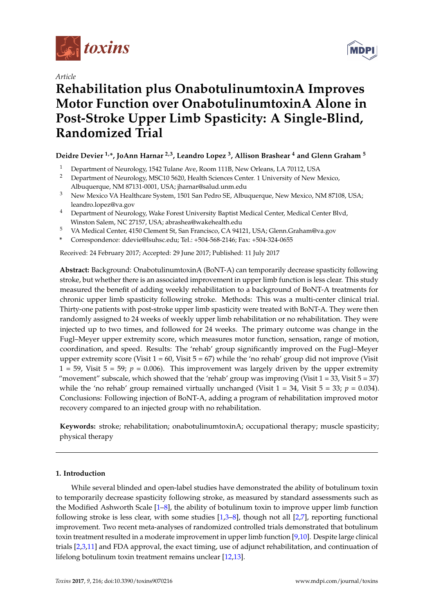

*Article*

# **Rehabilitation plus OnabotulinumtoxinA Improves Motor Function over OnabotulinumtoxinA Alone in Post-Stroke Upper Limb Spasticity: A Single-Blind, Randomized Trial**

# **Deidre Devier 1,\*, JoAnn Harnar 2,3, Leandro Lopez <sup>3</sup> , Allison Brashear <sup>4</sup> and Glenn Graham <sup>5</sup>**

- <sup>1</sup> Department of Neurology, 1542 Tulane Ave, Room 111B, New Orleans, LA 70112, USA<br><sup>2</sup> Department of Neurology, MSC10,5620, Health Sciences Center, 1 University of New N
- <sup>2</sup> Department of Neurology, MSC10 5620, Health Sciences Center. 1 University of New Mexico, Albuquerque, NM 87131-0001, USA; jharnar@salud.unm.edu
- <sup>3</sup> New Mexico VA Healthcare System, 1501 San Pedro SE, Albuquerque, New Mexico, NM 87108, USA; leandro.lopez@va.gov
- <sup>4</sup> Department of Neurology, Wake Forest University Baptist Medical Center, Medical Center Blvd, Winston Salem, NC 27157, USA; abrashea@wakehealth.edu
- <sup>5</sup> VA Medical Center, 4150 Clement St, San Francisco, CA 94121, USA; Glenn.Graham@va.gov
- **\*** Correspondence: ddevie@lsuhsc.edu; Tel.: +504-568-2146; Fax: +504-324-0655

Received: 24 February 2017; Accepted: 29 June 2017; Published: 11 July 2017

**Abstract:** Background: OnabotulinumtoxinA (BoNT-A) can temporarily decrease spasticity following stroke, but whether there is an associated improvement in upper limb function is less clear. This study measured the benefit of adding weekly rehabilitation to a background of BoNT-A treatments for chronic upper limb spasticity following stroke. Methods: This was a multi-center clinical trial. Thirty-one patients with post-stroke upper limb spasticity were treated with BoNT-A. They were then randomly assigned to 24 weeks of weekly upper limb rehabilitation or no rehabilitation. They were injected up to two times, and followed for 24 weeks. The primary outcome was change in the Fugl–Meyer upper extremity score, which measures motor function, sensation, range of motion, coordination, and speed. Results: The 'rehab' group significantly improved on the Fugl–Meyer upper extremity score (Visit  $1 = 60$ , Visit  $5 = 67$ ) while the 'no rehab' group did not improve (Visit  $1 = 59$ , Visit  $5 = 59$ ;  $p = 0.006$ ). This improvement was largely driven by the upper extremity "movement" subscale, which showed that the 'rehab' group was improving (Visit  $1 = 33$ , Visit  $5 = 37$ ) while the 'no rehab' group remained virtually unchanged (Visit  $1 = 34$ , Visit  $5 = 33$ ;  $p = 0.034$ ). Conclusions: Following injection of BoNT-A, adding a program of rehabilitation improved motor recovery compared to an injected group with no rehabilitation.

**Keywords:** stroke; rehabilitation; onabotulinumtoxinA; occupational therapy; muscle spasticity; physical therapy

## **1. Introduction**

While several blinded and open-label studies have demonstrated the ability of botulinum toxin to temporarily decrease spasticity following stroke, as measured by standard assessments such as the Modified Ashworth Scale [\[1](#page-7-0)[–8\]](#page-7-1), the ability of botulinum toxin to improve upper limb function following stroke is less clear, with some studies [\[1,](#page-7-0)[3](#page-7-2)[–8\]](#page-7-1), though not all [\[2](#page-7-3)[,7\]](#page-7-4), reporting functional improvement. Two recent meta-analyses of randomized controlled trials demonstrated that botulinum toxin treatment resulted in a moderate improvement in upper limb function [\[9](#page-7-5)[,10\]](#page-7-6). Despite large clinical trials [\[2](#page-7-3)[,3](#page-7-2)[,11\]](#page-7-7) and FDA approval, the exact timing, use of adjunct rehabilitation, and continuation of lifelong botulinum toxin treatment remains unclear [\[12,](#page-7-8)[13\]](#page-7-9).

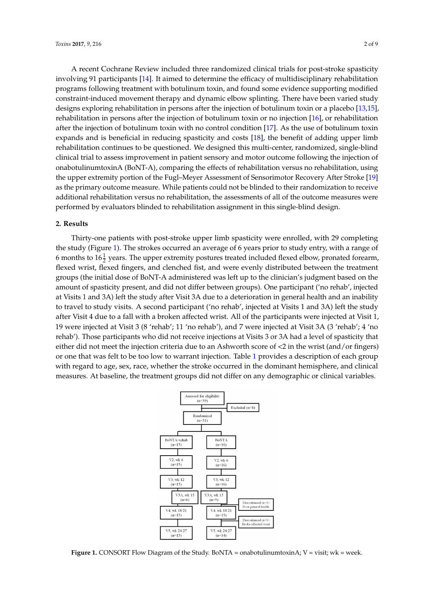A recent Cochrane Review included three randomized clinical trials for post-stroke spasticity involving 91 participants [\[14\]](#page-7-10). It aimed to determine the efficacy of multidisciplinary rehabilitation programs following treatment with botulinum toxin, and found some evidence supporting modified constraint-induced movement therapy and dynamic elbow splinting. There have been varied study designs exploring rehabilitation in persons after the injection of botulinum toxin or a placebo [\[13,](#page-7-9)[15\]](#page-7-11), rehabilitation in persons after the injection of botulinum toxin or no injection [\[16\]](#page-8-0), or rehabilitation after the injection of botulinum toxin with no control condition [\[17\]](#page-8-1). As the use of botulinum toxin expands and is beneficial in reducing spasticity and costs [\[18\]](#page-8-2), the benefit of adding upper limb rehabilitation continues to be questioned. We designed this multi-center, randomized, single-blind clinical trial to assess improvement in patient sensory and motor outcome following the injection of onabotulinumtoxinA (BoNT-A), comparing the effects of rehabilitation versus no rehabilitation, using the upper extremity portion of the Fugl–Meyer Assessment of Sensorimotor Recovery After Stroke [\[19\]](#page-8-3) as the primary outcome measure. While patients could not be blinded to their randomization to receive additional rehabilitation versus no rehabilitation, the assessments of all of the outcome measures were performed by evaluators blinded to rehabilitation assignment in this single-blind design.

#### **2. Results**

Thirty-one patients with post-stroke upper limb spasticity were enrolled, with 29 completing the study (Figure [1\)](#page-1-0). The strokes occurred an average of 6 years prior to study entry, with a range of 6 months to  $16\frac{1}{2}$  years. The upper extremity postures treated included flexed elbow, pronated forearm, flexed wrist, flexed fingers, and clenched fist, and were evenly distributed between the treatment groups (the initial dose of BoNT-A administered was left up to the clinician's judgment based on the amount of spasticity present, and did not differ between groups). One participant ('no rehab', injected at Visits 1 and 3A) left the study after Visit 3A due to a deterioration in general health and an inability to travel to study visits. A second participant ('no rehab', injected at Visits 1 and 3A) left the study after Visit 4 due to a fall with a broken affected wrist. All of the participants were injected at Visit 1, 19 were injected at Visit 3 (8 'rehab'; 11 'no rehab'), and 7 were injected at Visit 3A (3 'rehab'; 4 'no rehab'). Those participants who did not receive injections at Visits 3 or 3A had a level of spasticity that either did not meet the injection criteria due to an Ashworth score of <2 in the wrist (and/or fingers) or one that was felt to be too low to warrant injection. Table [1](#page-2-0) provides a description of each group with regard to age, sex, race, whether the stroke occurred in the dominant hemisphere, and clinical measures. At baseline, the treatment groups did not differ on any demographic or clinical variables. *Toxins* **2017**, *9*, 216 3 of 9

<span id="page-1-0"></span>

**Figure 1.** CONSORT Flow Diagram of the Study. BoNTA = onabotulinumtoxinA; V = visit; wk = week. **Figure 1.** CONSORT Flow Diagram of the Study. BoNTA = onabotulinumtoxinA; V = visit; wk = week.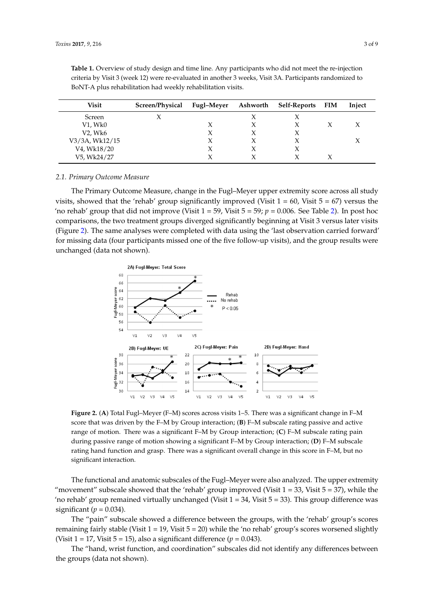| Visit          | Screen/Physical | Fugl–Meyer | Ashworth | Self-Reports | <b>FIM</b> | Inject |
|----------------|-----------------|------------|----------|--------------|------------|--------|
| Screen         |                 |            |          |              |            |        |
| V1, Wk0        |                 |            | X        |              |            |        |
| V2, Wk6        |                 |            |          |              |            |        |
| V3/3A, Wk12/15 |                 |            |          |              |            |        |
| V4, Wk18/20    |                 |            |          |              |            |        |
| V5, Wk24/27    |                 |            |          |              |            |        |

<span id="page-2-0"></span>**Table 1.** Overview of study design and time line. Any participants who did not meet the re-injection criteria by Visit 3 (week 12) were re-evaluated in another 3 weeks, Visit 3A. Participants randomized to BoNT-A plus rehabilitation had weekly rehabilitation visits.

#### *2.1. Primary Outcome Measure*

The Primary Outcome Measure, change in the Fugl–Meyer upper extremity score across all study visits, showed that the 'rehab' group significantly improved (Visit  $1 = 60$ , Visit  $5 = 67$ ) versus the 'no rehab' group that did not improve (Visit  $1 = 59$ , Visit  $5 = 59$ ;  $p = 0.006$ . See Table [2\)](#page-3-0). In post hoc comparisons, the two treatment groups diverged significantly beginning at Visit 3 versus later visits (Figure [2\)](#page-2-1). The same analyses were completed with data using the 'last observation carried forward' for missing data (four participants missed one of the five follow-up visits), and the group results were unchanged (data not shown).

<span id="page-2-1"></span>

Figure 2. (A) Total Fugl–Meyer (F–M) scores across visits 1–5. There was a significant change in F–M score that was driven by the F–M by Group interaction. (**B**) F–M subscale rating passive and active score that was driven by the F–M by Group interaction; (**B**) F–M subscale rating passive and active range of motion. There was a significant F–M by Group interaction; (C) F–M subscale rating pain during passive range of motion showing a significant F–M by Group interaction. (**D**) F–M subscale during passive range of motion showing a significant F–M by Group interaction; (**D**) F–M subscale rating hand function and grasp. There was a significant overall change in this score in F–M, but no significant interaction. significant interaction.

The functional and anatomic subscales of the Fugl–Meyer were also analyzed. The upper extremity "movement" subscale showed that the 'rehab' group improved (Visit  $1 = 33$ , Visit  $5 = 37$ ), while the 'no rehab' group remained virtually unchanged (Visit 1 = 34, Visit 5 = 33). This group difference was  $\text{significant } (p = 0.034).$ 

The "pain" subscale showed a difference between the groups, with the 'rehab' group's scores remaining fairly stable (Visit 1 = 19, Visit 5 = 20) while the 'no rehab' group's scores worsened slightly<br>(Visit 1 = 17, Visit 5 = 15), also a significant difference (n = 0.043) (Visit  $1 = 17$ , Visit  $5 = 15$ ), also a significant difference ( $p = 0.043$ ).

hand wrist function and coordination" subscales did not identify any differences be The "hand, wrist function, and coordination" subscales did not identify any differences between the groups (data not shown).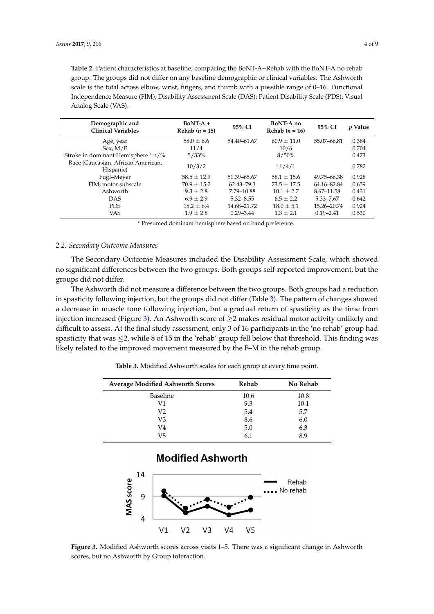<span id="page-3-0"></span>**Table 2.** Patient characteristics at baseline, comparing the BoNT-A+Rehab with the BoNT-A no rehab group. The groups did not differ on any baseline demographic or clinical variables. The Ashworth scale is the total across elbow, wrist, fingers, and thumb with a possible range of 0–16. Functional Independence Measure (FIM); Disability Assessment Scale (DAS); Patient Disability Scale (PDS); Visual Analog Scale (VAS).

| Demographic and<br><b>Clinical Variables</b>    | $BoNT-A +$<br>Rehab $(n = 15)$ | 95% CI        | BoNT-A no<br>Rehab $(n = 16)$ | 95% CI        | <i>p</i> Value |
|-------------------------------------------------|--------------------------------|---------------|-------------------------------|---------------|----------------|
| Age, year                                       | $58.0 \pm 6.6$                 | 54.40-61.67   | $60.9 \pm 11.0$               | 55.07-66.81   | 0.384          |
| Sex. M/F                                        | 11/4                           |               | 10/6                          |               | 0.704          |
| Stroke in dominant Hemisphere * n/%             | 5/33%                          |               | 8/50%                         |               | 0.473          |
| Race (Caucasian, African American,<br>Hispanic) | 10/3/2                         |               | 11/4/1                        |               | 0.782          |
| Fugl-Meyer                                      | $58.5 \pm 12.9$                | 51.39 - 65.67 | $58.1 \pm 15.6$               | 49.75 - 66.38 | 0.928          |
| FIM, motor subscale                             | $70.9 \pm 15.2$                | 62.43-79.3    | $73.5 \pm 17.5$               | 64.16-82.84   | 0.659          |
| Ashworth                                        | $9.3 + 2.8$                    | 7.79-10.88    | $10.1 + 2.7$                  | 8.67-11.58    | 0.431          |
| <b>DAS</b>                                      | $6.9 + 2.9$                    | $5.32 - 8.55$ | $6.5 \pm 2.2$                 | 5.33–7.67     | 0.642          |
| <b>PDS</b>                                      | $18.2 \pm 6.4$                 | 14.68-21.72   | $18.0 \pm 5.1$                | 15.26-20.74   | 0.924          |
| VAS                                             | $1.9 \pm 2.8$                  | $0.29 - 3.44$ | $1.3 \pm 2.1$                 | $0.19 - 2.41$ | 0.530          |

\* Presumed dominant hemisphere based on hand preference.

#### *2.2. Secondary Outcome Measures*

The Secondary Outcome Measures included the Disability Assessment Scale, which showed no significant differences between the two groups. Both groups self-reported improvement, but the groups did not differ.

The Ashworth did not measure a difference between the two groups. Both groups had a reduction in spasticity following injection, but the groups did not differ (Table [3\)](#page-3-1). The pattern of changes showed a decrease in muscle tone following injection, but a gradual return of spasticity as the time from injection increased (Figure [3\)](#page-3-2). An Ashworth score of ≥2 makes residual motor activity unlikely and difficult to assess. At the final study assessment, only 3 of 16 participants in the 'no rehab' group had spasticity that was ≤2, while 8 of 15 in the 'rehab' group fell below that threshold. This finding was likely related to the improved movement measured by the F–M in the rehab group.

**Table 3.** Modified Ashworth scales for each group at every time point.

<span id="page-3-1"></span>

| <b>Average Modified Ashworth Scores</b> | Rehab | No Rehab |
|-----------------------------------------|-------|----------|
| Baseline                                | 10.6  | 10.8     |
| V1                                      | 9.3   | 10.1     |
| V2                                      | 5.4   | 5.7      |
| V3                                      | 8.6   | 6.0      |
| V4                                      | 5.0   | 6.3      |
| V5                                      | 6.1   | 8.9      |

# **Modified Ashworth**

<span id="page-3-2"></span>

**Figure 3.** Modified Ashworth scores across visits 1–5. There was a significant change in Ashworth scores, but no Ashworth by Group interaction. scores, but no Ashworth by Group interaction.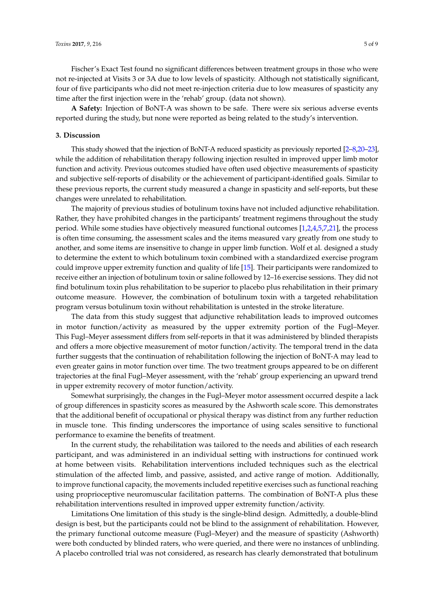Fischer's Exact Test found no significant differences between treatment groups in those who were not re-injected at Visits 3 or 3A due to low levels of spasticity. Although not statistically significant, four of five participants who did not meet re-injection criteria due to low measures of spasticity any time after the first injection were in the 'rehab' group. (data not shown).

**A Safety:** Injection of BoNT-A was shown to be safe. There were six serious adverse events reported during the study, but none were reported as being related to the study's intervention.

#### **3. Discussion**

This study showed that the injection of BoNT-A reduced spasticity as previously reported [\[2–](#page-7-3)[8](#page-7-1)[,20](#page-8-4)[–23\]](#page-8-5), while the addition of rehabilitation therapy following injection resulted in improved upper limb motor function and activity. Previous outcomes studied have often used objective measurements of spasticity and subjective self-reports of disability or the achievement of participant-identified goals. Similar to these previous reports, the current study measured a change in spasticity and self-reports, but these changes were unrelated to rehabilitation.

The majority of previous studies of botulinum toxins have not included adjunctive rehabilitation. Rather, they have prohibited changes in the participants' treatment regimens throughout the study period. While some studies have objectively measured functional outcomes [\[1,](#page-7-0)[2,](#page-7-3)[4](#page-7-12)[,5](#page-7-13)[,7](#page-7-4)[,21\]](#page-8-6), the process is often time consuming, the assessment scales and the items measured vary greatly from one study to another, and some items are insensitive to change in upper limb function. Wolf et al. designed a study to determine the extent to which botulinum toxin combined with a standardized exercise program could improve upper extremity function and quality of life [\[15\]](#page-7-11). Their participants were randomized to receive either an injection of botulinum toxin or saline followed by 12–16 exercise sessions. They did not find botulinum toxin plus rehabilitation to be superior to placebo plus rehabilitation in their primary outcome measure. However, the combination of botulinum toxin with a targeted rehabilitation program versus botulinum toxin without rehabilitation is untested in the stroke literature.

The data from this study suggest that adjunctive rehabilitation leads to improved outcomes in motor function/activity as measured by the upper extremity portion of the Fugl–Meyer. This Fugl–Meyer assessment differs from self-reports in that it was administered by blinded therapists and offers a more objective measurement of motor function/activity. The temporal trend in the data further suggests that the continuation of rehabilitation following the injection of BoNT-A may lead to even greater gains in motor function over time. The two treatment groups appeared to be on different trajectories at the final Fugl–Meyer assessment, with the 'rehab' group experiencing an upward trend in upper extremity recovery of motor function/activity.

Somewhat surprisingly, the changes in the Fugl–Meyer motor assessment occurred despite a lack of group differences in spasticity scores as measured by the Ashworth scale score. This demonstrates that the additional benefit of occupational or physical therapy was distinct from any further reduction in muscle tone. This finding underscores the importance of using scales sensitive to functional performance to examine the benefits of treatment.

In the current study, the rehabilitation was tailored to the needs and abilities of each research participant, and was administered in an individual setting with instructions for continued work at home between visits. Rehabilitation interventions included techniques such as the electrical stimulation of the affected limb, and passive, assisted, and active range of motion. Additionally, to improve functional capacity, the movements included repetitive exercises such as functional reaching using proprioceptive neuromuscular facilitation patterns. The combination of BoNT-A plus these rehabilitation interventions resulted in improved upper extremity function/activity.

Limitations One limitation of this study is the single-blind design. Admittedly, a double-blind design is best, but the participants could not be blind to the assignment of rehabilitation. However, the primary functional outcome measure (Fugl–Meyer) and the measure of spasticity (Ashworth) were both conducted by blinded raters, who were queried, and there were no instances of unblinding. A placebo controlled trial was not considered, as research has clearly demonstrated that botulinum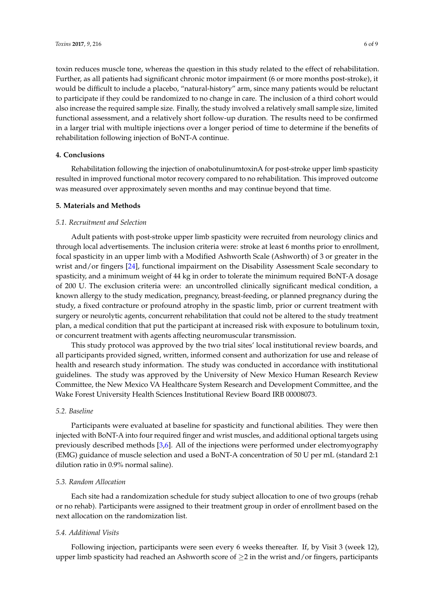toxin reduces muscle tone, whereas the question in this study related to the effect of rehabilitation. Further, as all patients had significant chronic motor impairment (6 or more months post-stroke), it would be difficult to include a placebo, "natural-history" arm, since many patients would be reluctant to participate if they could be randomized to no change in care. The inclusion of a third cohort would also increase the required sample size. Finally, the study involved a relatively small sample size, limited functional assessment, and a relatively short follow-up duration. The results need to be confirmed in a larger trial with multiple injections over a longer period of time to determine if the benefits of rehabilitation following injection of BoNT-A continue.

#### **4. Conclusions**

Rehabilitation following the injection of onabotulinumtoxinA for post-stroke upper limb spasticity resulted in improved functional motor recovery compared to no rehabilitation. This improved outcome was measured over approximately seven months and may continue beyond that time.

#### **5. Materials and Methods**

#### *5.1. Recruitment and Selection*

Adult patients with post-stroke upper limb spasticity were recruited from neurology clinics and through local advertisements. The inclusion criteria were: stroke at least 6 months prior to enrollment, focal spasticity in an upper limb with a Modified Ashworth Scale (Ashworth) of 3 or greater in the wrist and/or fingers [\[24\]](#page-8-7), functional impairment on the Disability Assessment Scale secondary to spasticity, and a minimum weight of 44 kg in order to tolerate the minimum required BoNT-A dosage of 200 U. The exclusion criteria were: an uncontrolled clinically significant medical condition, a known allergy to the study medication, pregnancy, breast-feeding, or planned pregnancy during the study, a fixed contracture or profound atrophy in the spastic limb, prior or current treatment with surgery or neurolytic agents, concurrent rehabilitation that could not be altered to the study treatment plan, a medical condition that put the participant at increased risk with exposure to botulinum toxin, or concurrent treatment with agents affecting neuromuscular transmission.

This study protocol was approved by the two trial sites' local institutional review boards, and all participants provided signed, written, informed consent and authorization for use and release of health and research study information. The study was conducted in accordance with institutional guidelines. The study was approved by the University of New Mexico Human Research Review Committee, the New Mexico VA Healthcare System Research and Development Committee, and the Wake Forest University Health Sciences Institutional Review Board IRB 00008073.

# *5.2. Baseline*

Participants were evaluated at baseline for spasticity and functional abilities. They were then injected with BoNT-A into four required finger and wrist muscles, and additional optional targets using previously described methods [\[3,](#page-7-2)[6\]](#page-7-14). All of the injections were performed under electromyography (EMG) guidance of muscle selection and used a BoNT-A concentration of 50 U per mL (standard 2:1 dilution ratio in 0.9% normal saline).

# *5.3. Random Allocation*

Each site had a randomization schedule for study subject allocation to one of two groups (rehab or no rehab). Participants were assigned to their treatment group in order of enrollment based on the next allocation on the randomization list.

#### *5.4. Additional Visits*

Following injection, participants were seen every 6 weeks thereafter. If, by Visit 3 (week 12), upper limb spasticity had reached an Ashworth score of  $\geq$ 2 in the wrist and/or fingers, participants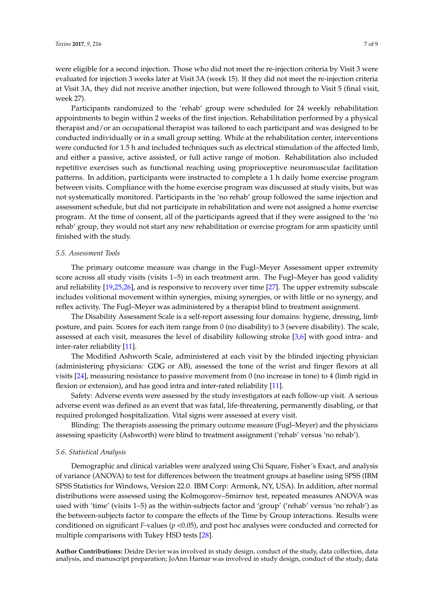were eligible for a second injection. Those who did not meet the re-injection criteria by Visit 3 were evaluated for injection 3 weeks later at Visit 3A (week 15). If they did not meet the re-injection criteria at Visit 3A, they did not receive another injection, but were followed through to Visit 5 (final visit,

week 27). Participants randomized to the 'rehab' group were scheduled for 24 weekly rehabilitation appointments to begin within 2 weeks of the first injection. Rehabilitation performed by a physical therapist and/or an occupational therapist was tailored to each participant and was designed to be conducted individually or in a small group setting. While at the rehabilitation center, interventions were conducted for 1.5 h and included techniques such as electrical stimulation of the affected limb, and either a passive, active assisted, or full active range of motion. Rehabilitation also included repetitive exercises such as functional reaching using proprioceptive neuromuscular facilitation patterns. In addition, participants were instructed to complete a 1 h daily home exercise program between visits. Compliance with the home exercise program was discussed at study visits, but was not systematically monitored. Participants in the 'no rehab' group followed the same injection and assessment schedule, but did not participate in rehabilitation and were not assigned a home exercise program. At the time of consent, all of the participants agreed that if they were assigned to the 'no rehab' group, they would not start any new rehabilitation or exercise program for arm spasticity until finished with the study.

#### *5.5. Assessment Tools*

The primary outcome measure was change in the Fugl–Meyer Assessment upper extremity score across all study visits (visits 1–5) in each treatment arm. The Fugl–Meyer has good validity and reliability [\[19,](#page-8-3)[25,](#page-8-8)[26\]](#page-8-9), and is responsive to recovery over time [\[27\]](#page-8-10). The upper extremity subscale includes volitional movement within synergies, mixing synergies, or with little or no synergy, and reflex activity. The Fugl–Meyer was administered by a therapist blind to treatment assignment.

The Disability Assessment Scale is a self-report assessing four domains: hygiene, dressing, limb posture, and pain. Scores for each item range from 0 (no disability) to 3 (severe disability). The scale, assessed at each visit, measures the level of disability following stroke [\[3](#page-7-2)[,6\]](#page-7-14) with good intra- and inter-rater reliability [\[11\]](#page-7-7).

The Modified Ashworth Scale, administered at each visit by the blinded injecting physician (administering physicians: GDG or AB), assessed the tone of the wrist and finger flexors at all visits [\[24\]](#page-8-7), measuring resistance to passive movement from 0 (no increase in tone) to 4 (limb rigid in flexion or extension), and has good intra and inter-rated reliability [\[11\]](#page-7-7).

Safety: Adverse events were assessed by the study investigators at each follow-up visit. A serious adverse event was defined as an event that was fatal, life-threatening, permanently disabling, or that required prolonged hospitalization. Vital signs were assessed at every visit.

Blinding: The therapists assessing the primary outcome measure (Fugl–Meyer) and the physicians assessing spasticity (Ashworth) were blind to treatment assignment ('rehab' versus 'no rehab').

#### *5.6. Statistical Analysis*

Demographic and clinical variables were analyzed using Chi Square, Fisher's Exact, and analysis of variance (ANOVA) to test for differences between the treatment groups at baseline using SPSS (IBM SPSS Statistics for Windows, Version 22.0. IBM Corp: Armonk, NY, USA). In addition, after normal distributions were assessed using the Kolmogorov–Smirnov test, repeated measures ANOVA was used with 'time' (visits 1–5) as the within-subjects factor and 'group' ('rehab' versus 'no rehab') as the between-subjects factor to compare the effects of the Time by Group interactions. Results were conditioned on significant *F*-values (*p* <0.05), and post hoc analyses were conducted and corrected for multiple comparisons with Tukey HSD tests [\[28\]](#page-8-11).

**Author Contributions:** Deidre Devier was involved in study design, conduct of the study, data collection, data analysis, and manuscript preparation; JoAnn Harnar was involved in study design, conduct of the study, data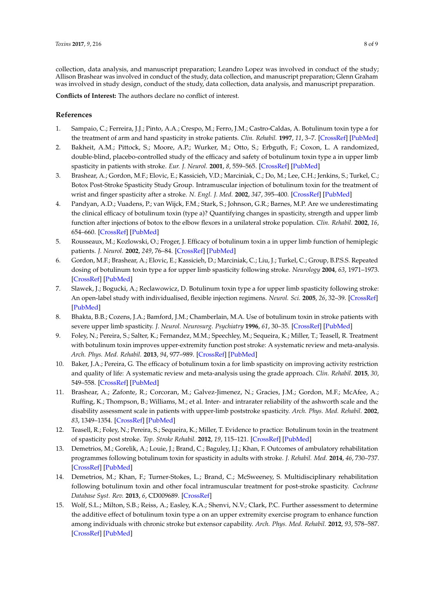collection, data analysis, and manuscript preparation; Leandro Lopez was involved in conduct of the study; Allison Brashear was involved in conduct of the study, data collection, and manuscript preparation; Glenn Graham was involved in study design, conduct of the study, data collection, data analysis, and manuscript preparation.

**Conflicts of Interest:** The authors declare no conflict of interest.

## **References**

- <span id="page-7-0"></span>1. Sampaio, C.; Ferreira, J.J.; Pinto, A.A.; Crespo, M.; Ferro, J.M.; Castro-Caldas, A. Botulinum toxin type a for the treatment of arm and hand spasticity in stroke patients. *Clin. Rehabil.* **1997**, *11*, 3–7. [\[CrossRef\]](http://dx.doi.org/10.1177/026921559701100102) [\[PubMed\]](http://www.ncbi.nlm.nih.gov/pubmed/9065354)
- <span id="page-7-3"></span>2. Bakheit, A.M.; Pittock, S.; Moore, A.P.; Wurker, M.; Otto, S.; Erbguth, F.; Coxon, L. A randomized, double-blind, placebo-controlled study of the efficacy and safety of botulinum toxin type a in upper limb spasticity in patients with stroke. *Eur. J. Neurol.* **2001**, *8*, 559–565. [\[CrossRef\]](http://dx.doi.org/10.1046/j.1468-1331.2001.00277.x) [\[PubMed\]](http://www.ncbi.nlm.nih.gov/pubmed/11784339)
- <span id="page-7-2"></span>3. Brashear, A.; Gordon, M.F.; Elovic, E.; Kassicieh, V.D.; Marciniak, C.; Do, M.; Lee, C.H.; Jenkins, S.; Turkel, C.; Botox Post-Stroke Spasticity Study Group. Intramuscular injection of botulinum toxin for the treatment of wrist and finger spasticity after a stroke. *N. Engl. J. Med.* **2002**, *347*, 395–400. [\[CrossRef\]](http://dx.doi.org/10.1056/NEJMoa011892) [\[PubMed\]](http://www.ncbi.nlm.nih.gov/pubmed/12167681)
- <span id="page-7-12"></span>4. Pandyan, A.D.; Vuadens, P.; van Wijck, F.M.; Stark, S.; Johnson, G.R.; Barnes, M.P. Are we underestimating the clinical efficacy of botulinum toxin (type a)? Quantifying changes in spasticity, strength and upper limb function after injections of botox to the elbow flexors in a unilateral stroke population. *Clin. Rehabil.* **2002**, *16*, 654–660. [\[CrossRef\]](http://dx.doi.org/10.1191/0269215502cr536oa) [\[PubMed\]](http://www.ncbi.nlm.nih.gov/pubmed/12392341)
- <span id="page-7-13"></span>5. Rousseaux, M.; Kozlowski, O.; Froger, J. Efficacy of botulinum toxin a in upper limb function of hemiplegic patients. *J. Neurol.* **2002**, *249*, 76–84. [\[CrossRef\]](http://dx.doi.org/10.1007/PL00007851) [\[PubMed\]](http://www.ncbi.nlm.nih.gov/pubmed/11954872)
- <span id="page-7-14"></span>6. Gordon, M.F.; Brashear, A.; Elovic, E.; Kassicieh, D.; Marciniak, C.; Liu, J.; Turkel, C.; Group, B.P.S.S. Repeated dosing of botulinum toxin type a for upper limb spasticity following stroke. *Neurology* **2004**, *63*, 1971–1973. [\[CrossRef\]](http://dx.doi.org/10.1212/01.WNL.0000144349.95487.91) [\[PubMed\]](http://www.ncbi.nlm.nih.gov/pubmed/15557529)
- <span id="page-7-4"></span>7. Slawek, J.; Bogucki, A.; Reclawowicz, D. Botulinum toxin type a for upper limb spasticity following stroke: An open-label study with individualised, flexible injection regimens. *Neurol. Sci.* **2005**, *26*, 32–39. [\[CrossRef\]](http://dx.doi.org/10.1007/s10072-005-0379-8) [\[PubMed\]](http://www.ncbi.nlm.nih.gov/pubmed/15877185)
- <span id="page-7-1"></span>8. Bhakta, B.B.; Cozens, J.A.; Bamford, J.M.; Chamberlain, M.A. Use of botulinum toxin in stroke patients with severe upper limb spasticity. *J. Neurol. Neurosurg. Psychiatry* **1996**, *61*, 30–35. [\[CrossRef\]](http://dx.doi.org/10.1136/jnnp.61.1.30) [\[PubMed\]](http://www.ncbi.nlm.nih.gov/pubmed/8676154)
- <span id="page-7-5"></span>9. Foley, N.; Pereira, S.; Salter, K.; Fernandez, M.M.; Speechley, M.; Sequeira, K.; Miller, T.; Teasell, R. Treatment with botulinum toxin improves upper-extremity function post stroke: A systematic review and meta-analysis. *Arch. Phys. Med. Rehabil.* **2013**, *94*, 977–989. [\[CrossRef\]](http://dx.doi.org/10.1016/j.apmr.2012.12.006) [\[PubMed\]](http://www.ncbi.nlm.nih.gov/pubmed/23262381)
- <span id="page-7-6"></span>10. Baker, J.A.; Pereira, G. The efficacy of botulinum toxin a for limb spasticity on improving activity restriction and quality of life: A systematic review and meta-analysis using the grade approach. *Clin. Rehabil.* **2015**, *30*, 549–558. [\[CrossRef\]](http://dx.doi.org/10.1177/0269215515593609) [\[PubMed\]](http://www.ncbi.nlm.nih.gov/pubmed/26150020)
- <span id="page-7-7"></span>11. Brashear, A.; Zafonte, R.; Corcoran, M.; Galvez-Jimenez, N.; Gracies, J.M.; Gordon, M.F.; McAfee, A.; Ruffing, K.; Thompson, B.; Williams, M.; et al. Inter- and intrarater reliability of the ashworth scale and the disability assessment scale in patients with upper-limb poststroke spasticity. *Arch. Phys. Med. Rehabil.* **2002**, *83*, 1349–1354. [\[CrossRef\]](http://dx.doi.org/10.1053/apmr.2002.35474) [\[PubMed\]](http://www.ncbi.nlm.nih.gov/pubmed/12370866)
- <span id="page-7-8"></span>12. Teasell, R.; Foley, N.; Pereira, S.; Sequeira, K.; Miller, T. Evidence to practice: Botulinum toxin in the treatment of spasticity post stroke. *Top. Stroke Rehabil.* **2012**, *19*, 115–121. [\[CrossRef\]](http://dx.doi.org/10.1310/tsr1902-115) [\[PubMed\]](http://www.ncbi.nlm.nih.gov/pubmed/22436359)
- <span id="page-7-9"></span>13. Demetrios, M.; Gorelik, A.; Louie, J.; Brand, C.; Baguley, I.J.; Khan, F. Outcomes of ambulatory rehabilitation programmes following botulinum toxin for spasticity in adults with stroke. *J. Rehabil. Med.* **2014**, *46*, 730–737. [\[CrossRef\]](http://dx.doi.org/10.2340/16501977-1842) [\[PubMed\]](http://www.ncbi.nlm.nih.gov/pubmed/25073939)
- <span id="page-7-10"></span>14. Demetrios, M.; Khan, F.; Turner-Stokes, L.; Brand, C.; McSweeney, S. Multidisciplinary rehabilitation following botulinum toxin and other focal intramuscular treatment for post-stroke spasticity. *Cochrane Database Syst. Rev.* **2013**, *6*, CD009689. [\[CrossRef\]](http://dx.doi.org/10.1002/14651858.CD009689.pub2)
- <span id="page-7-11"></span>15. Wolf, S.L.; Milton, S.B.; Reiss, A.; Easley, K.A.; Shenvi, N.V.; Clark, P.C. Further assessment to determine the additive effect of botulinum toxin type a on an upper extremity exercise program to enhance function among individuals with chronic stroke but extensor capability. *Arch. Phys. Med. Rehabil.* **2012**, *93*, 578–587. [\[CrossRef\]](http://dx.doi.org/10.1016/j.apmr.2011.10.026) [\[PubMed\]](http://www.ncbi.nlm.nih.gov/pubmed/22206630)